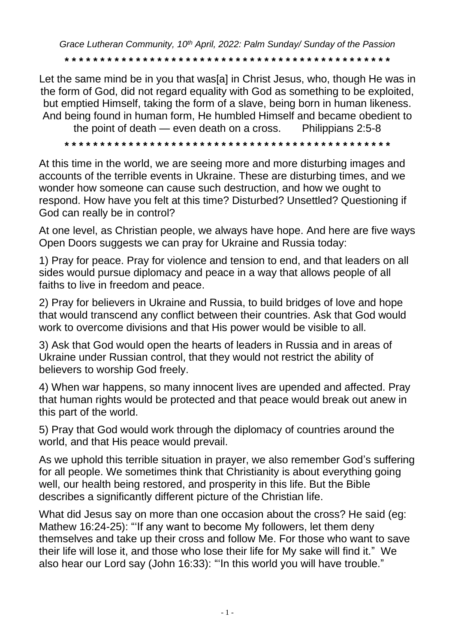*Grace Lutheran Community, 10th April, 2022: Palm Sunday/ Sunday of the Passion*

**\* \* \* \* \* \* \* \* \* \* \* \* \* \* \* \* \* \* \* \* \* \* \* \* \* \* \* \* \* \* \* \* \* \* \* \* \* \* \* \* \* \* \* \* \* \***

Let the same mind be in you that was[a] in Christ Jesus, who, though He was in the form of God, did not regard equality with God as something to be exploited, but emptied Himself, taking the form of a slave, being born in human likeness. And being found in human form, He humbled Himself and became obedient to

the point of death — even death on a cross. Philippians 2:5-8

**\* \* \* \* \* \* \* \* \* \* \* \* \* \* \* \* \* \* \* \* \* \* \* \* \* \* \* \* \* \* \* \* \* \* \* \* \* \* \* \* \* \* \* \* \* \***

At this time in the world, we are seeing more and more disturbing images and accounts of the terrible events in Ukraine. These are disturbing times, and we wonder how someone can cause such destruction, and how we ought to respond. How have you felt at this time? Disturbed? Unsettled? Questioning if God can really be in control?

At one level, as Christian people, we always have hope. And here are five ways Open Doors suggests we can pray for Ukraine and Russia today:

1) Pray for peace. Pray for violence and tension to end, and that leaders on all sides would pursue diplomacy and peace in a way that allows people of all faiths to live in freedom and peace.

2) Pray for believers in Ukraine and Russia, to build bridges of love and hope that would transcend any conflict between their countries. Ask that God would work to overcome divisions and that His power would be visible to all.

3) Ask that God would open the hearts of leaders in Russia and in areas of Ukraine under Russian control, that they would not restrict the ability of believers to worship God freely.

4) When war happens, so many innocent lives are upended and affected. Pray that human rights would be protected and that peace would break out anew in this part of the world.

5) Pray that God would work through the diplomacy of countries around the world, and that His peace would prevail.

As we uphold this terrible situation in prayer, we also remember God's suffering for all people. We sometimes think that Christianity is about everything going well, our health being restored, and prosperity in this life. But the Bible describes a significantly different picture of the Christian life.

What did Jesus say on more than one occasion about the cross? He said (eg: Mathew 16:24-25): "'If any want to become My followers, let them deny themselves and take up their cross and follow Me. For those who want to save their life will lose it, and those who lose their life for My sake will find it." We also hear our Lord say (John 16:33): "'In this world you will have trouble."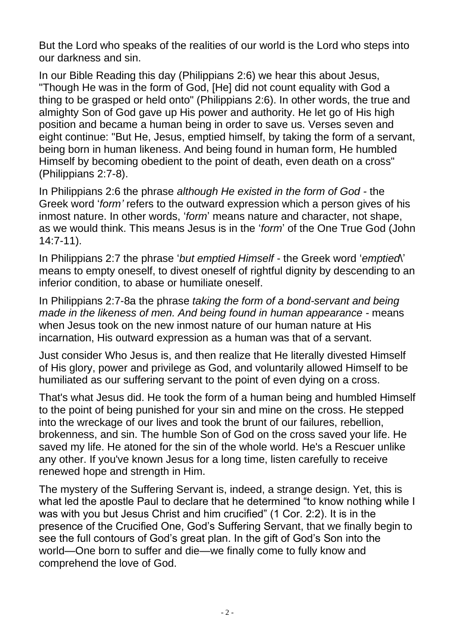But the Lord who speaks of the realities of our world is the Lord who steps into our darkness and sin.

In our Bible Reading this day (Philippians 2:6) we hear this about Jesus, "Though He was in the form of God, [He] did not count equality with God a thing to be grasped or held onto" (Philippians 2:6). In other words, the true and almighty Son of God gave up His power and authority. He let go of His high position and became a human being in order to save us. Verses seven and eight continue: "But He, Jesus, emptied himself, by taking the form of a servant, being born in human likeness. And being found in human form, He humbled Himself by becoming obedient to the point of death, even death on a cross" (Philippians 2:7-8).

In Philippians 2:6 the phrase *although He existed in the form of God -* the Greek word '*form'* refers to the outward expression which a person gives of his inmost nature. In other words, '*form*' means nature and character, not shape, as we would think. This means Jesus is in the '*form*' of the One True God (John 14:7-11).

In Philippians 2:7 the phrase '*but emptied Himself -* the Greek word '*emptied*\' means to empty oneself, to divest oneself of rightful dignity by descending to an inferior condition, to abase or humiliate oneself.

In Philippians 2:7-8a the phrase *taking the form of a bond-servant and being made in the likeness of men. And being found in human appearance -* means when Jesus took on the new inmost nature of our human nature at His incarnation, His outward expression as a human was that of a servant.

Just consider Who Jesus is, and then realize that He literally divested Himself of His glory, power and privilege as God, and voluntarily allowed Himself to be humiliated as our suffering servant to the point of even dying on a cross.

That's what Jesus did. He took the form of a human being and humbled Himself to the point of being punished for your sin and mine on the cross. He stepped into the wreckage of our lives and took the brunt of our failures, rebellion, brokenness, and sin. The humble Son of God on the cross saved your life. He saved my life. He atoned for the sin of the whole world. He's a Rescuer unlike any other. If you've known Jesus for a long time, listen carefully to receive renewed hope and strength in Him.

The mystery of the Suffering Servant is, indeed, a strange design. Yet, this is what led the apostle Paul to declare that he determined "to know nothing while I was with you but Jesus Christ and him crucified" (1 Cor. 2:2). It is in the presence of the Crucified One, God's Suffering Servant, that we finally begin to see the full contours of God's great plan. In the gift of God's Son into the world—One born to suffer and die—we finally come to fully know and comprehend the love of God.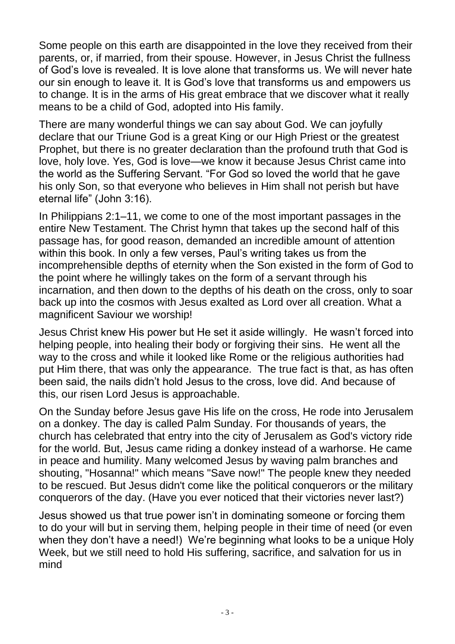Some people on this earth are disappointed in the love they received from their parents, or, if married, from their spouse. However, in Jesus Christ the fullness of God's love is revealed. It is love alone that transforms us. We will never hate our sin enough to leave it. It is God's love that transforms us and empowers us to change. It is in the arms of His great embrace that we discover what it really means to be a child of God, adopted into His family.

There are many wonderful things we can say about God. We can joyfully declare that our Triune God is a great King or our High Priest or the greatest Prophet, but there is no greater declaration than the profound truth that God is love, holy love. Yes, God is love—we know it because Jesus Christ came into the world as the Suffering Servant. "For God so loved the world that he gave his only Son, so that everyone who believes in Him shall not perish but have eternal life" (John 3:16).

In Philippians 2:1–11, we come to one of the most important passages in the entire New Testament. The Christ hymn that takes up the second half of this passage has, for good reason, demanded an incredible amount of attention within this book. In only a few verses, Paul's writing takes us from the incomprehensible depths of eternity when the Son existed in the form of God to the point where he willingly takes on the form of a servant through his incarnation, and then down to the depths of his death on the cross, only to soar back up into the cosmos with Jesus exalted as Lord over all creation. What a magnificent Saviour we worship!

Jesus Christ knew His power but He set it aside willingly. He wasn't forced into helping people, into healing their body or forgiving their sins. He went all the way to the cross and while it looked like Rome or the religious authorities had put Him there, that was only the appearance. The true fact is that, as has often been said, the nails didn't hold Jesus to the cross, love did. And because of this, our risen Lord Jesus is approachable.

On the Sunday before Jesus gave His life on the cross, He rode into Jerusalem on a donkey. The day is called Palm Sunday. For thousands of years, the church has celebrated that entry into the city of Jerusalem as God's victory ride for the world. But, Jesus came riding a donkey instead of a warhorse. He came in peace and humility. Many welcomed Jesus by waving palm branches and shouting, "Hosanna!" which means "Save now!" The people knew they needed to be rescued. But Jesus didn't come like the political conquerors or the military conquerors of the day. (Have you ever noticed that their victories never last?)

Jesus showed us that true power isn't in dominating someone or forcing them to do your will but in serving them, helping people in their time of need (or even when they don't have a need!) We're beginning what looks to be a unique Holy Week, but we still need to hold His suffering, sacrifice, and salvation for us in mind